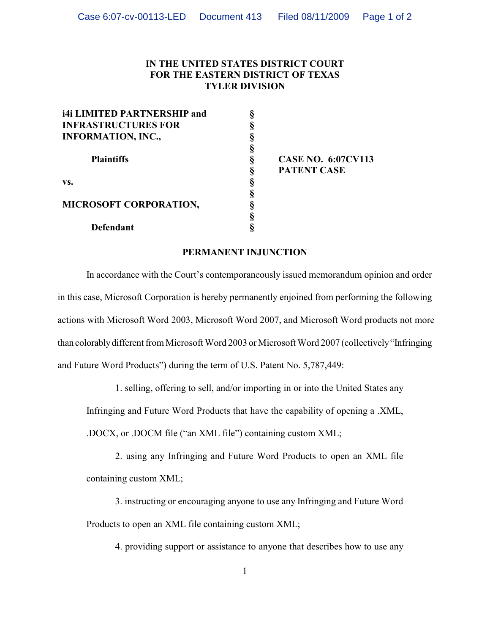## **IN THE UNITED STATES DISTRICT COURT FOR THE EASTERN DISTRICT OF TEXAS TYLER DIVISION**

| <b>i4i LIMITED PARTNERSHIP and</b> | ş |
|------------------------------------|---|
| <b>INFRASTRUCTURES FOR</b>         | ş |
| <b>INFORMATION, INC.,</b>          | ş |
| <b>Plaintiffs</b>                  | § |
|                                    | ş |
|                                    | ş |
| VS.                                | § |
| <b>MICROSOFT CORPORATION,</b>      | § |
|                                    | ş |
|                                    | ş |
| <b>Defendant</b>                   |   |

**§ CASE NO. 6:07CV113 § PATENT CASE**

## **PERMANENT INJUNCTION**

In accordance with the Court's contemporaneously issued memorandum opinion and order in this case, Microsoft Corporation is hereby permanently enjoined from performing the following actions with Microsoft Word 2003, Microsoft Word 2007, and Microsoft Word products not more than colorably different from Microsoft Word 2003 or Microsoft Word 2007 (collectively "Infringing and Future Word Products") during the term of U.S. Patent No. 5,787,449:

1. selling, offering to sell, and/or importing in or into the United States any

Infringing and Future Word Products that have the capability of opening a .XML,

.DOCX, or .DOCM file ("an XML file") containing custom XML;

2. using any Infringing and Future Word Products to open an XML file containing custom XML;

3. instructing or encouraging anyone to use any Infringing and Future Word Products to open an XML file containing custom XML;

4. providing support or assistance to anyone that describes how to use any